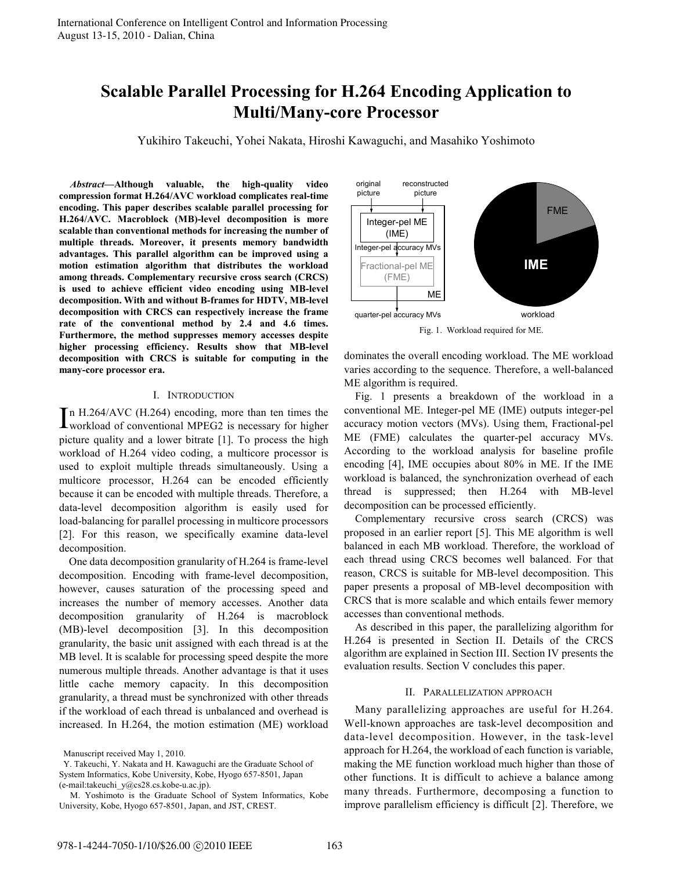# **Scalable Parallel Processing for H.264 Encoding Application to Multi/Many-core Processor**

Yukihiro Takeuchi, Yohei Nakata, Hiroshi Kawaguchi, and Masahiko Yoshimoto

*Abstract***—Although valuable, the high-quality video compression format H.264/AVC workload complicates real-time encoding. This paper describes scalable parallel processing for H.264/AVC. Macroblock (MB)-level decomposition is more scalable than conventional methods for increasing the number of multiple threads. Moreover, it presents memory bandwidth advantages. This parallel algorithm can be improved using a motion estimation algorithm that distributes the workload among threads. Complementary recursive cross search (CRCS) is used to achieve efficient video encoding using MB-level decomposition. With and without B-frames for HDTV, MB-level decomposition with CRCS can respectively increase the frame rate of the conventional method by 2.4 and 4.6 times. Furthermore, the method suppresses memory accesses despite higher processing efficiency. Results show that MB-level decomposition with CRCS is suitable for computing in the many-core processor era.**

### I. INTRODUCTION

n H.264/AVC (H.264) encoding, more than ten times the In H.264/AVC (H.264) encoding, more than ten times the workload of conventional MPEG2 is necessary for higher picture quality and a lower bitrate [1]. To process the high workload of H.264 video coding, a multicore processor is used to exploit multiple threads simultaneously. Using a multicore processor, H.264 can be encoded efficiently because it can be encoded with multiple threads. Therefore, a data-level decomposition algorithm is easily used for load-balancing for parallel processing in multicore processors [2]. For this reason, we specifically examine data-level decomposition.

One data decomposition granularity of H.264 is frame-level decomposition. Encoding with frame-level decomposition, however, causes saturation of the processing speed and increases the number of memory accesses. Another data decomposition granularity of H.264 is macroblock (MB)-level decomposition [3]. In this decomposition granularity, the basic unit assigned with each thread is at the MB level. It is scalable for processing speed despite the more numerous multiple threads. Another advantage is that it uses little cache memory capacity. In this decomposition granularity, a thread must be synchronized with other threads if the workload of each thread is unbalanced and overhead is increased. In H.264, the motion estimation (ME) workload



dominates the overall encoding workload. The ME workload varies according to the sequence. Therefore, a well-balanced ME algorithm is required.

Fig. 1 presents a breakdown of the workload in a conventional ME. Integer-pel ME (IME) outputs integer-pel accuracy motion vectors (MVs). Using them, Fractional-pel ME (FME) calculates the quarter-pel accuracy MVs. According to the workload analysis for baseline profile encoding [4], IME occupies about 80% in ME. If the IME workload is balanced, the synchronization overhead of each thread is suppressed; then H.264 with MB-level decomposition can be processed efficiently.

Complementary recursive cross search (CRCS) was proposed in an earlier report [5]. This ME algorithm is well balanced in each MB workload. Therefore, the workload of each thread using CRCS becomes well balanced. For that reason, CRCS is suitable for MB-level decomposition. This paper presents a proposal of MB-level decomposition with CRCS that is more scalable and which entails fewer memory accesses than conventional methods.

As described in this paper, the parallelizing algorithm for H.264 is presented in Section II. Details of the CRCS algorithm are explained in Section III. Section IV presents the evaluation results. Section V concludes this paper.

#### II. PARALLELIZATION APPROACH

Many parallelizing approaches are useful for H.264. Well-known approaches are task-level decomposition and data-level decomposition. However, in the task-level approach for H.264, the workload of each function is variable, making the ME function workload much higher than those of other functions. It is difficult to achieve a balance among many threads. Furthermore, decomposing a function to improve parallelism efficiency is difficult [2]. Therefore, we

Manuscript received May 1, 2010.

Y. Takeuchi, Y. Nakata and H. Kawaguchi are the Graduate School of System Informatics, Kobe University, Kobe, Hyogo 657-8501, Japan (e-mail:takeuchi\_y@cs28.cs.kobe-u.ac.jp).

M. Yoshimoto is the Graduate School of System Informatics, Kobe University, Kobe, Hyogo 657-8501, Japan, and JST, CREST.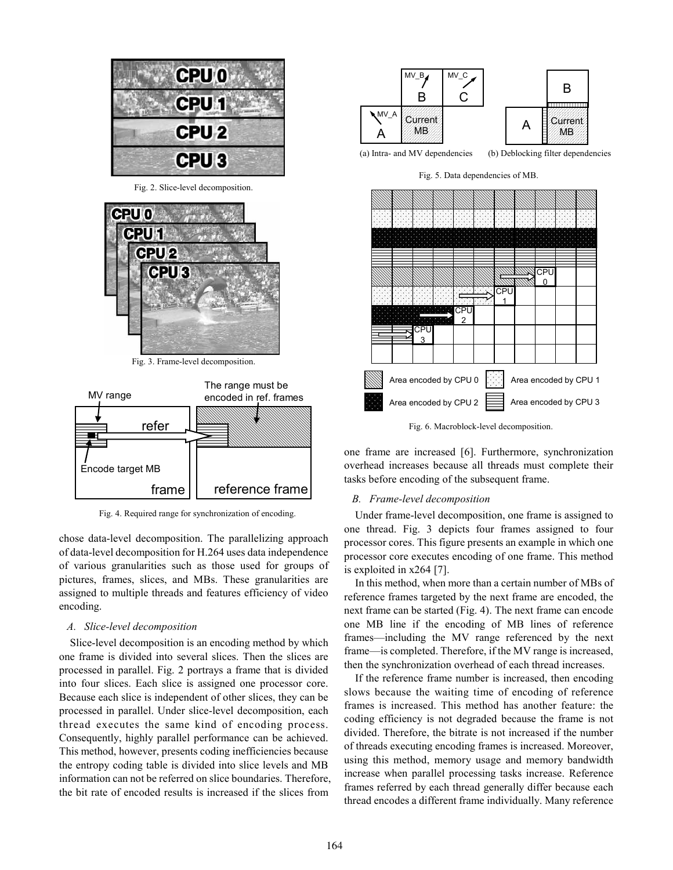

Fig. 2. Slice-level decomposition.



Fig. 3. Frame-level decomposition.



Fig. 4. Required range for synchronization of encoding.

chose data-level decomposition. The parallelizing approach of data-level decomposition for H.264 uses data independence of various granularities such as those used for groups of pictures, frames, slices, and MBs. These granularities are assigned to multiple threads and features efficiency of video encoding.

## *A. Slice-level decomposition*

Slice-level decomposition is an encoding method by which one frame is divided into several slices. Then the slices are processed in parallel. Fig. 2 portrays a frame that is divided into four slices. Each slice is assigned one processor core. Because each slice is independent of other slices, they can be processed in parallel. Under slice-level decomposition, each thread executes the same kind of encoding process. Consequently, highly parallel performance can be achieved. This method, however, presents coding inefficiencies because the entropy coding table is divided into slice levels and MB information can not be referred on slice boundaries. Therefore, the bit rate of encoded results is increased if the slices from



Fig. 5. Data dependencies of MB.



Fig. 6. Macroblock-level decomposition.

one frame are increased [6]. Furthermore, synchronization overhead increases because all threads must complete their tasks before encoding of the subsequent frame.

### *B. Frame-level decomposition*

Under frame-level decomposition, one frame is assigned to one thread. Fig. 3 depicts four frames assigned to four processor cores. This figure presents an example in which one processor core executes encoding of one frame. This method is exploited in x264 [7].

In this method, when more than a certain number of MBs of reference frames targeted by the next frame are encoded, the next frame can be started (Fig. 4). The next frame can encode one MB line if the encoding of MB lines of reference frames––including the MV range referenced by the next frame—is completed. Therefore, if the MV range is increased, then the synchronization overhead of each thread increases.

If the reference frame number is increased, then encoding slows because the waiting time of encoding of reference frames is increased. This method has another feature: the coding efficiency is not degraded because the frame is not divided. Therefore, the bitrate is not increased if the number of threads executing encoding frames is increased. Moreover, using this method, memory usage and memory bandwidth increase when parallel processing tasks increase. Reference frames referred by each thread generally differ because each thread encodes a different frame individually. Many reference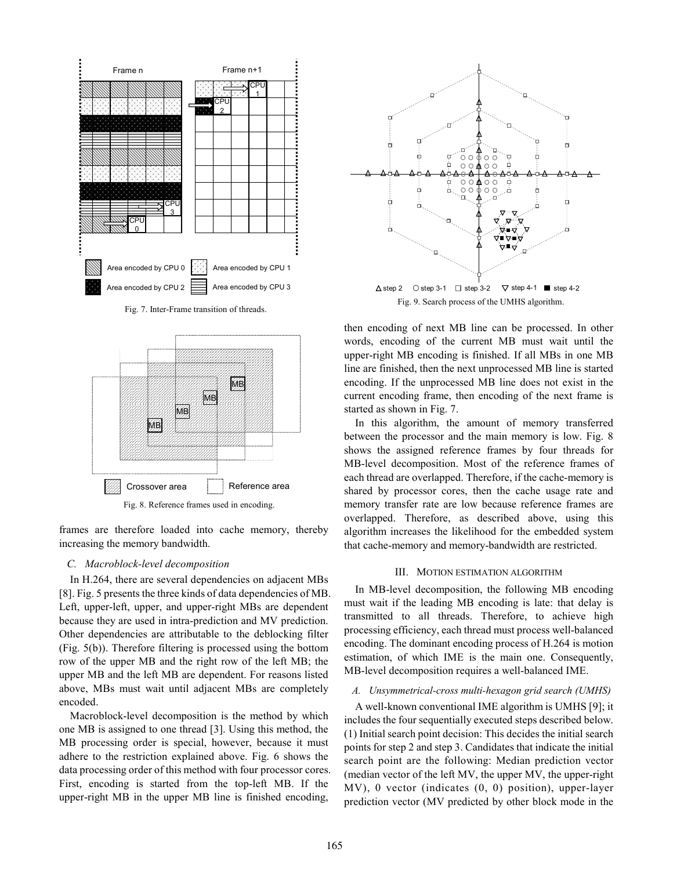

Fig. 7. Inter-Frame transition of threads.



frames are therefore loaded into cache memory, thereby increasing the memory bandwidth.

#### *C. Macroblock-level decomposition*

In H.264, there are several dependencies on adjacent MBs [8]. Fig. 5 presents the three kinds of data dependencies of MB. Left, upper-left, upper, and upper-right MBs are dependent because they are used in intra-prediction and MV prediction. Other dependencies are attributable to the deblocking filter (Fig. 5(b)). Therefore filtering is processed using the bottom row of the upper MB and the right row of the left MB; the upper MB and the left MB are dependent. For reasons listed above, MBs must wait until adjacent MBs are completely encoded.

Macroblock-level decomposition is the method by which one MB is assigned to one thread [3]. Using this method, the MB processing order is special, however, because it must adhere to the restriction explained above. Fig. 6 shows the data processing order of this method with four processor cores. First, encoding is started from the top-left MB. If the upper-right MB in the upper MB line is finished encoding,



Fig. 9. Search process of the UMHS algorithm.

then encoding of next MB line can be processed. In other words, encoding of the current MB must wait until the upper-right MB encoding is finished. If all MBs in one MB line are finished, then the next unprocessed MB line is started encoding. If the unprocessed MB line does not exist in the current encoding frame, then encoding of the next frame is started as shown in Fig. 7.

In this algorithm, the amount of memory transferred between the processor and the main memory is low. Fig. 8 shows the assigned reference frames by four threads for MB-level decomposition. Most of the reference frames of each thread are overlapped. Therefore, if the cache-memory is shared by processor cores, then the cache usage rate and memory transfer rate are low because reference frames are overlapped. Therefore, as described above, using this algorithm increases the likelihood for the embedded system that cache-memory and memory-bandwidth are restricted.

# III. MOTION ESTIMATION ALGORITHM

In MB-level decomposition, the following MB encoding must wait if the leading MB encoding is late: that delay is transmitted to all threads. Therefore, to achieve high processing efficiency, each thread must process well-balanced encoding. The dominant encoding process of H.264 is motion estimation, of which IME is the main one. Consequently, MB-level decomposition requires a well-balanced IME.

### *A. Unsymmetrical-cross multi-hexagon grid search (UMHS)*

A well-known conventional IME algorithm is UMHS [9]; it includes the four sequentially executed steps described below. (1) Initial search point decision: This decides the initial search points for step 2 and step 3. Candidates that indicate the initial search point are the following: Median prediction vector (median vector of the left MV, the upper MV, the upper-right MV), 0 vector (indicates (0, 0) position), upper-layer prediction vector (MV predicted by other block mode in the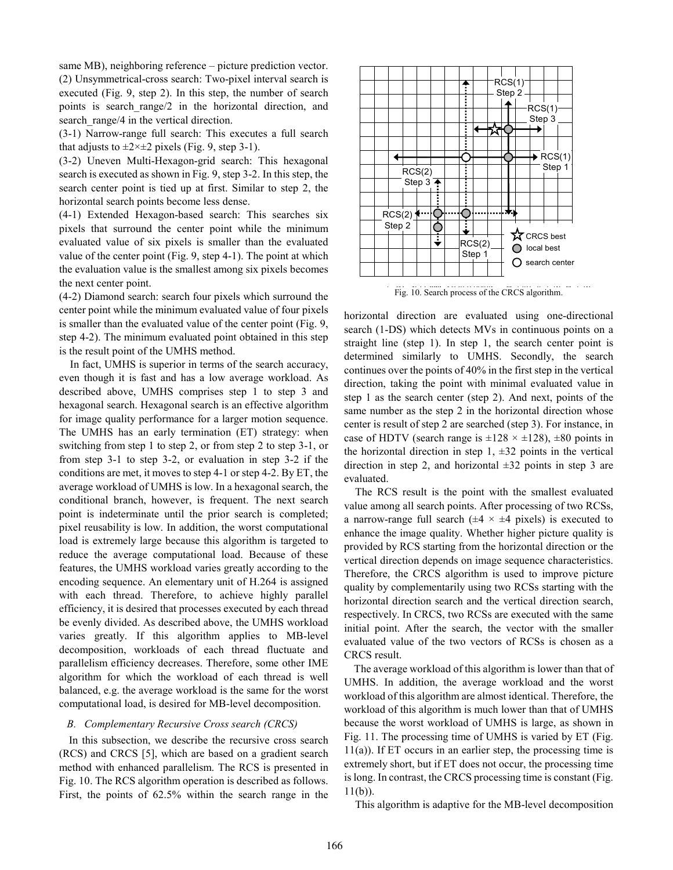same MB), neighboring reference – picture prediction vector. (2) Unsymmetrical-cross search: Two-pixel interval search is executed (Fig. 9, step 2). In this step, the number of search points is search\_range/2 in the horizontal direction, and search range/4 in the vertical direction.

(3-1) Narrow-range full search: This executes a full search that adjusts to  $\pm 2 \times \pm 2$  pixels (Fig. 9, step 3-1).

(3-2) Uneven Multi-Hexagon-grid search: This hexagonal search is executed as shown in Fig. 9, step 3-2. In this step, the search center point is tied up at first. Similar to step 2, the horizontal search points become less dense.

(4-1) Extended Hexagon-based search: This searches six pixels that surround the center point while the minimum evaluated value of six pixels is smaller than the evaluated value of the center point (Fig. 9, step 4-1). The point at which the evaluation value is the smallest among six pixels becomes the next center point.

(4-2) Diamond search: search four pixels which surround the center point while the minimum evaluated value of four pixels is smaller than the evaluated value of the center point (Fig. 9, step 4-2). The minimum evaluated point obtained in this step is the result point of the UMHS method.

In fact, UMHS is superior in terms of the search accuracy, even though it is fast and has a low average workload. As described above, UMHS comprises step 1 to step 3 and hexagonal search. Hexagonal search is an effective algorithm for image quality performance for a larger motion sequence. The UMHS has an early termination (ET) strategy: when switching from step 1 to step 2, or from step 2 to step 3-1, or from step 3-1 to step 3-2, or evaluation in step 3-2 if the conditions are met, it moves to step 4-1 or step 4-2. By ET, the average workload of UMHS is low. In a hexagonal search, the conditional branch, however, is frequent. The next search point is indeterminate until the prior search is completed; pixel reusability is low. In addition, the worst computational load is extremely large because this algorithm is targeted to reduce the average computational load. Because of these features, the UMHS workload varies greatly according to the encoding sequence. An elementary unit of H.264 is assigned with each thread. Therefore, to achieve highly parallel efficiency, it is desired that processes executed by each thread be evenly divided. As described above, the UMHS workload varies greatly. If this algorithm applies to MB-level decomposition, workloads of each thread fluctuate and parallelism efficiency decreases. Therefore, some other IME algorithm for which the workload of each thread is well balanced, e.g. the average workload is the same for the worst computational load, is desired for MB-level decomposition.

#### *B. Complementary Recursive Cross search (CRCS)*

In this subsection, we describe the recursive cross search (RCS) and CRCS [5], which are based on a gradient search method with enhanced parallelism. The RCS is presented in Fig. 10. The RCS algorithm operation is described as follows. First, the points of 62.5% within the search range in the



Fig. 10. Search process of the CRCS algorithm.

horizontal direction are evaluated using one-directional search (1-DS) which detects MVs in continuous points on a straight line (step 1). In step 1, the search center point is determined similarly to UMHS. Secondly, the search continues over the points of 40% in the first step in the vertical direction, taking the point with minimal evaluated value in step 1 as the search center (step 2). And next, points of the same number as the step 2 in the horizontal direction whose center is result of step 2 are searched (step 3). For instance, in case of HDTV (search range is  $\pm 128 \times \pm 128$ ),  $\pm 80$  points in the horizontal direction in step  $1, \pm 32$  points in the vertical direction in step 2, and horizontal  $\pm 32$  points in step 3 are evaluated.

The RCS result is the point with the smallest evaluated value among all search points. After processing of two RCSs, a narrow-range full search ( $\pm 4 \times \pm 4$  pixels) is executed to enhance the image quality. Whether higher picture quality is provided by RCS starting from the horizontal direction or the vertical direction depends on image sequence characteristics. Therefore, the CRCS algorithm is used to improve picture quality by complementarily using two RCSs starting with the horizontal direction search and the vertical direction search, respectively. In CRCS, two RCSs are executed with the same initial point. After the search, the vector with the smaller evaluated value of the two vectors of RCSs is chosen as a CRCS result.

The average workload of this algorithm is lower than that of UMHS. In addition, the average workload and the worst workload of this algorithm are almost identical. Therefore, the workload of this algorithm is much lower than that of UMHS because the worst workload of UMHS is large, as shown in Fig. 11. The processing time of UMHS is varied by ET (Fig. 11(a)). If ET occurs in an earlier step, the processing time is extremely short, but if ET does not occur, the processing time islong. In contrast, the CRCS processing time is constant (Fig.  $11(b)$ ).

This algorithm is adaptive for the MB-level decomposition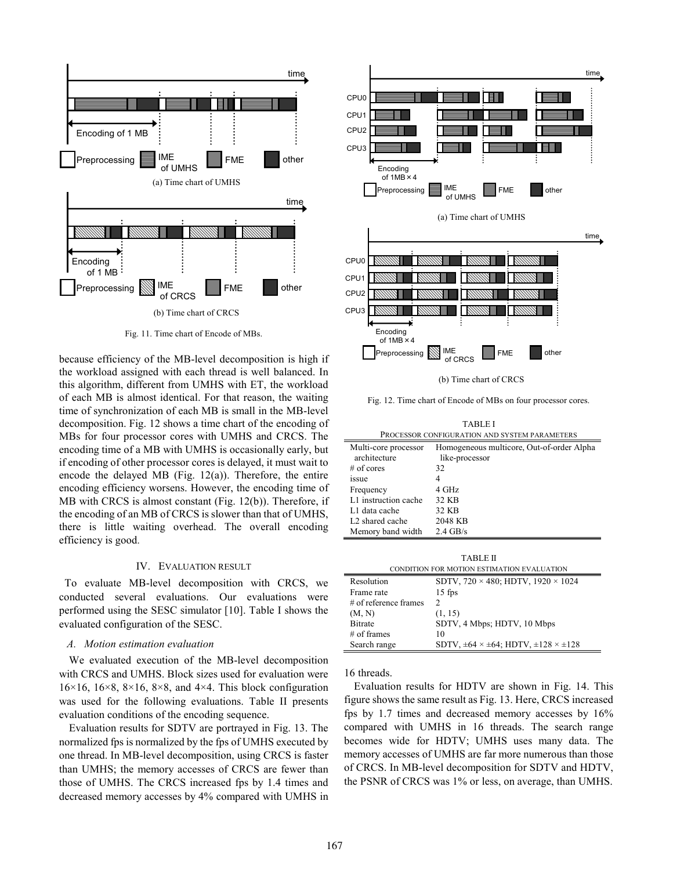

Fig. 11. Time chart of Encode of MBs.

because efficiency of the MB-level decomposition is high if the workload assigned with each thread is well balanced. In this algorithm, different from UMHS with ET, the workload of each MB is almost identical. For that reason, the waiting time of synchronization of each MB is small in the MB-level decomposition. Fig. 12 shows a time chart of the encoding of MBs for four processor cores with UMHS and CRCS. The encoding time of a MB with UMHS is occasionally early, but if encoding of other processor cores is delayed, it must wait to encode the delayed MB (Fig. 12(a)). Therefore, the entire encoding efficiency worsens. However, the encoding time of MB with CRCS is almost constant (Fig. 12(b)). Therefore, if the encoding of an MB of CRCS is slower than that of UMHS, there is little waiting overhead. The overall encoding efficiency is good.

#### IV. EVALUATION RESULT

To evaluate MB-level decomposition with CRCS, we conducted several evaluations. Our evaluations were performed using the SESC simulator [10]. Table I shows the evaluated configuration of the SESC.

#### *A. Motion estimation evaluation*

We evaluated execution of the MB-level decomposition with CRCS and UMHS. Block sizes used for evaluation were  $16\times16$ ,  $16\times8$ ,  $8\times16$ ,  $8\times8$ , and  $4\times4$ . This block configuration was used for the following evaluations. Table II presents evaluation conditions of the encoding sequence.

Evaluation results for SDTV are portrayed in Fig. 13. The normalized fps is normalized by the fps of UMHS executed by one thread. In MB-level decomposition, using CRCS is faster than UMHS; the memory accesses of CRCS are fewer than those of UMHS. The CRCS increased fps by 1.4 times and decreased memory accesses by 4% compared with UMHS in



(b) Time chart of CRCS

Fig. 12. Time chart of Encode of MBs on four processor cores.

TABLE I

| PROCESSOR CONFIGURATION AND SYSTEM PARAMETERS |                                           |  |
|-----------------------------------------------|-------------------------------------------|--|
| Multi-core processor                          | Homogeneous multicore, Out-of-order Alpha |  |
| architecture                                  | like-processor                            |  |
| $#$ of cores                                  | 32                                        |  |
| <i><b>1SSUe</b></i>                           | 4                                         |  |
| Frequency                                     | 4 GHz                                     |  |
| L1 instruction cache                          | 32 KB                                     |  |
| L1 data cache                                 | 32 KB                                     |  |
| L <sub>2</sub> shared cache                   | 2048 KB                                   |  |
| Memory band width                             | $2.4$ GB/s                                |  |

| TABLE II                                   |                                                               |  |
|--------------------------------------------|---------------------------------------------------------------|--|
| CONDITION FOR MOTION ESTIMATION EVALUATION |                                                               |  |
| Resolution                                 | SDTV, $720 \times 480$ ; HDTV, $1920 \times 1024$             |  |
| Frame rate                                 | $15$ fps                                                      |  |
| $\#$ of reference frames                   | 2                                                             |  |
| (M, N)                                     | (1, 15)                                                       |  |
| <b>Bitrate</b>                             | SDTV, 4 Mbps; HDTV, 10 Mbps                                   |  |
| $#$ of frames                              | 10                                                            |  |
| Search range                               | SDTV, $\pm 64 \times \pm 64$ ; HDTV, $\pm 128 \times \pm 128$ |  |

16 threads.

Evaluation results for HDTV are shown in Fig. 14. This figure shows the same result as Fig. 13. Here, CRCS increased fps by 1.7 times and decreased memory accesses by 16% compared with UMHS in 16 threads. The search range becomes wide for HDTV; UMHS uses many data. The memory accesses of UMHS are far more numerous than those of CRCS. In MB-level decomposition for SDTV and HDTV, the PSNR of CRCS was 1% or less, on average, than UMHS.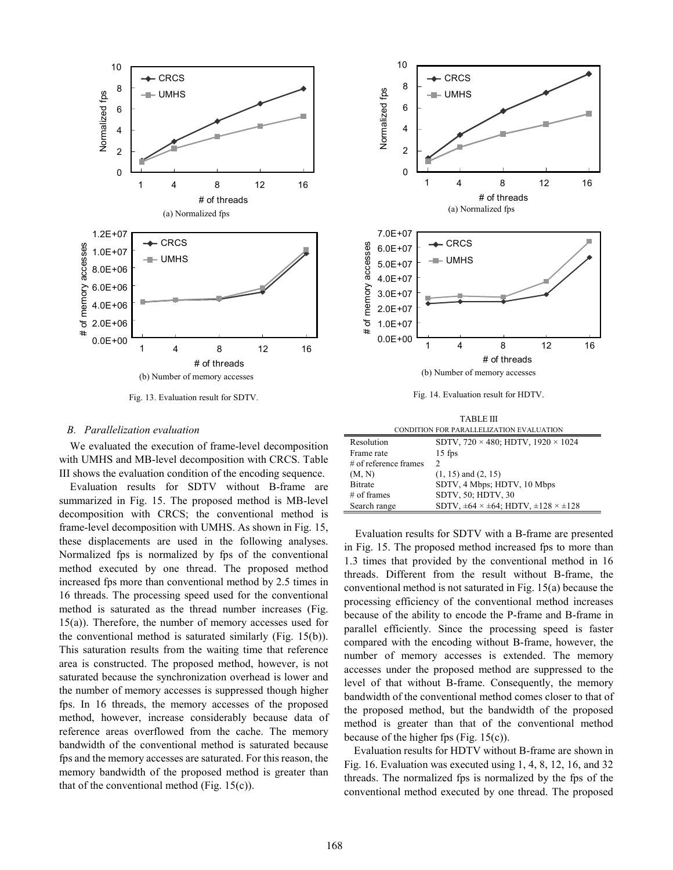

Fig. 13. Evaluation result for SDTV.

### *B. Parallelization evaluation*

We evaluated the execution of frame-level decomposition with UMHS and MB-level decomposition with CRCS. Table III shows the evaluation condition of the encoding sequence.

Evaluation results for SDTV without B-frame are summarized in Fig. 15. The proposed method is MB-level decomposition with CRCS; the conventional method is frame-level decomposition with UMHS. As shown in Fig. 15, these displacements are used in the following analyses. Normalized fps is normalized by fps of the conventional method executed by one thread. The proposed method increased fps more than conventional method by 2.5 times in 16 threads. The processing speed used for the conventional method is saturated as the thread number increases (Fig. 15(a)). Therefore, the number of memory accesses used for the conventional method is saturated similarly (Fig. 15(b)). This saturation results from the waiting time that reference area is constructed. The proposed method, however, is not saturated because the synchronization overhead is lower and the number of memory accesses is suppressed though higher fps. In 16 threads, the memory accesses of the proposed method, however, increase considerably because data of reference areas overflowed from the cache. The memory bandwidth of the conventional method is saturated because fps and the memory accesses are saturated. For this reason, the memory bandwidth of the proposed method is greater than that of the conventional method (Fig.  $15(c)$ ).



| CONDITION FOR PARALLELIZATION EVALUATION |                                                               |  |
|------------------------------------------|---------------------------------------------------------------|--|
| Resolution                               | SDTV, $720 \times 480$ ; HDTV, $1920 \times 1024$             |  |
| Frame rate                               | $15$ fps                                                      |  |
| $\#$ of reference frames                 | $\mathcal{P}$                                                 |  |
| (M, N)                                   | $(1, 15)$ and $(2, 15)$                                       |  |
| <b>Bitrate</b>                           | SDTV, 4 Mbps; HDTV, 10 Mbps                                   |  |
| $#$ of frames                            | SDTV, 50; HDTV, 30                                            |  |
| Search range                             | SDTV, $\pm 64 \times \pm 64$ ; HDTV, $\pm 128 \times \pm 128$ |  |

Evaluation results for SDTV with a B-frame are presented in Fig. 15. The proposed method increased fps to more than 1.3 times that provided by the conventional method in 16 threads. Different from the result without B-frame, the conventional method is not saturated in Fig. 15(a) because the processing efficiency of the conventional method increases because of the ability to encode the P-frame and B-frame in parallel efficiently. Since the processing speed is faster compared with the encoding without B-frame, however, the number of memory accesses is extended. The memory accesses under the proposed method are suppressed to the level of that without B-frame. Consequently, the memory bandwidth of the conventional method comes closer to that of the proposed method, but the bandwidth of the proposed method is greater than that of the conventional method because of the higher fps (Fig. 15(c)).

Evaluation results for HDTV without B-frame are shown in Fig. 16. Evaluation was executed using 1, 4, 8, 12, 16, and 32 threads. The normalized fps is normalized by the fps of the conventional method executed by one thread. The proposed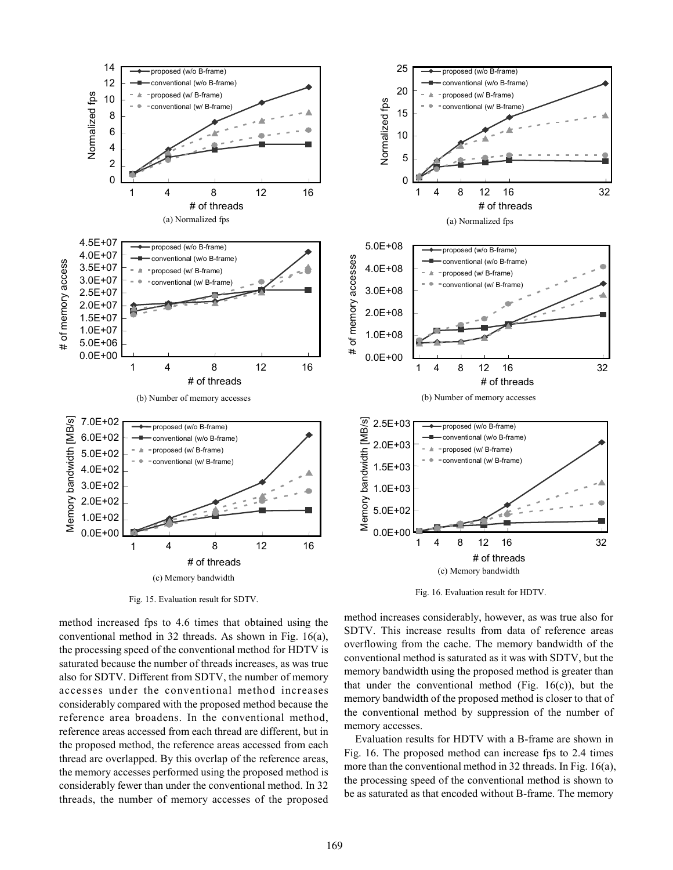

Fig. 15. Evaluation result for SDTV.

method increased fps to 4.6 times that obtained using the conventional method in 32 threads. As shown in Fig. 16(a), the processing speed of the conventional method for HDTV is saturated because the number of threads increases, as was true also for SDTV. Different from SDTV, the number of memory accesses under the conventional method increases considerably compared with the proposed method because the reference area broadens. In the conventional method, reference areas accessed from each thread are different, but in the proposed method, the reference areas accessed from each thread are overlapped. By this overlap of the reference areas, the memory accesses performed using the proposed method is considerably fewer than under the conventional method. In 32 threads, the number of memory accesses of the proposed



method increases considerably, however, as was true also for SDTV. This increase results from data of reference areas overflowing from the cache. The memory bandwidth of the conventional method is saturated as it was with SDTV, but the memory bandwidth using the proposed method is greater than that under the conventional method (Fig.  $16(c)$ ), but the memory bandwidth of the proposed method is closer to that of the conventional method by suppression of the number of memory accesses.

Evaluation results for HDTV with a B-frame are shown in Fig. 16. The proposed method can increase fps to 2.4 times more than the conventional method in 32 threads. In Fig. 16(a), the processing speed of the conventional method is shown to be as saturated as that encoded without B-frame. The memory